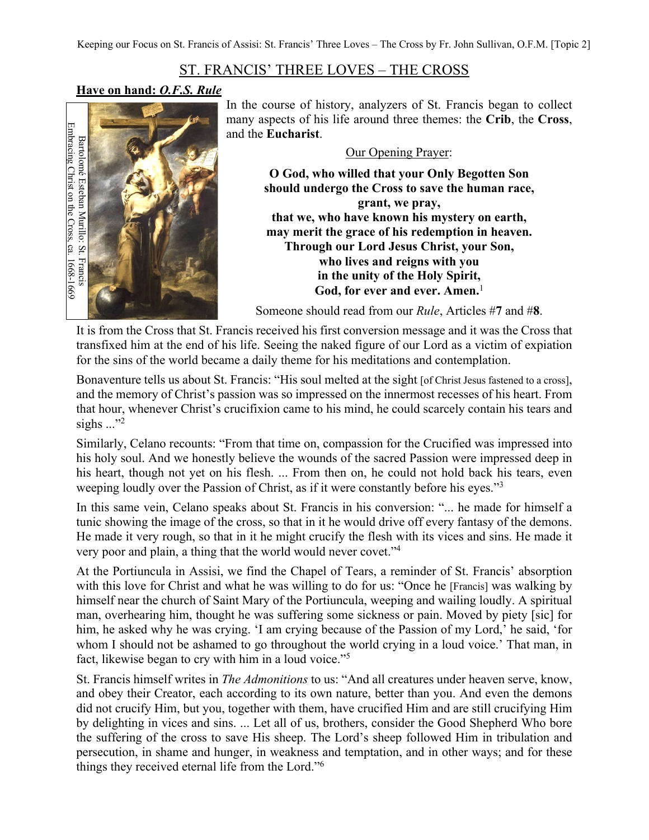## ST. FRANCIS' THREE LOVES – THE CROSS

## **Have on hand:** *O.F.S. Rule*



In the course of history, analyzers of St. Francis began to collect many aspects of his life around three themes: the **Crib**, the **Cross**, and the **Eucharist**.

Our Opening Prayer:

**O God, who willed that your Only Begotten Son should undergo the Cross to save the human race, grant, we pray, that we, who have known his mystery on earth, may merit the grace of his redemption in heaven. Through our Lord Jesus Christ, your Son, who lives and reigns with you in the unity of the Holy Spirit, God, for ever and ever. Amen.**<sup>1</sup>

Someone should read from our *Rule*, Articles #**7** and #**8**.

It is from the Cross that St. Francis received his first conversion message and it was the Cross that transfixed him at the end of his life. Seeing the naked figure of our Lord as a victim of expiation for the sins of the world became a daily theme for his meditations and contemplation.

Bonaventure tells us about St. Francis: "His soul melted at the sight [of Christ Jesus fastened to a cross], and the memory of Christ's passion was so impressed on the innermost recesses of his heart. From that hour, whenever Christ's crucifixion came to his mind, he could scarcely contain his tears and sighs  $\ldots$ <sup>2</sup>

Similarly, Celano recounts: "From that time on, compassion for the Crucified was impressed into his holy soul. And we honestly believe the wounds of the sacred Passion were impressed deep in his heart, though not yet on his flesh. ... From then on, he could not hold back his tears, even weeping loudly over the Passion of Christ, as if it were constantly before his eyes."3

In this same vein, Celano speaks about St. Francis in his conversion: "... he made for himself a tunic showing the image of the cross, so that in it he would drive off every fantasy of the demons. He made it very rough, so that in it he might crucify the flesh with its vices and sins. He made it very poor and plain, a thing that the world would never covet."4

At the Portiuncula in Assisi, we find the Chapel of Tears, a reminder of St. Francis' absorption with this love for Christ and what he was willing to do for us: "Once he [Francis] was walking by himself near the church of Saint Mary of the Portiuncula, weeping and wailing loudly. A spiritual man, overhearing him, thought he was suffering some sickness or pain. Moved by piety [sic] for him, he asked why he was crying. 'I am crying because of the Passion of my Lord,' he said, 'for whom I should not be ashamed to go throughout the world crying in a loud voice.' That man, in fact, likewise began to cry with him in a loud voice."<sup>5</sup>

St. Francis himself writes in *The Admonitions* to us: "And all creatures under heaven serve, know, and obey their Creator, each according to its own nature, better than you. And even the demons did not crucify Him, but you, together with them, have crucified Him and are still crucifying Him by delighting in vices and sins. ... Let all of us, brothers, consider the Good Shepherd Who bore the suffering of the cross to save His sheep. The Lord's sheep followed Him in tribulation and persecution, in shame and hunger, in weakness and temptation, and in other ways; and for these things they received eternal life from the Lord."<sup>6</sup>